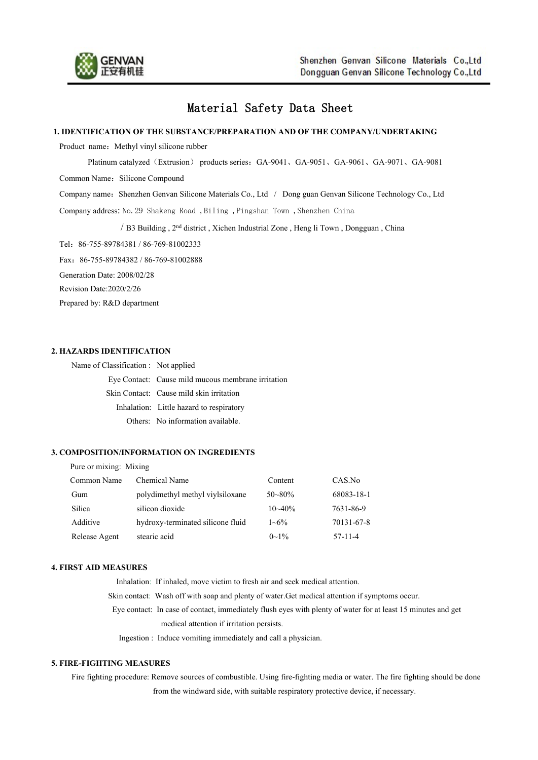

# **Material Safety Data Sheet**

### **1. IDENTIFICATION OF THE SUBSTANCE/PREPARATION AND OF THE COMPANY/UNDERTAKING**

Product name: Methyl vinyl silicone rubber

Platinum catalyzed(Extrusion) products series:GA-9041、GA-9051、GA-9061、GA-9071、GA-9081

Common Name: Silicone Compound

Company name: Shenzhen Genvan Silicone Materials Co., Ltd / Dong guan Genvan Silicone Technology Co., Ltd

Company address: No. 29 Shakeng Road, Biling, Pingshan Town, Shenzhen China

/ B3 Building, 2<sup>nd</sup> district, Xichen Industrial Zone, Heng li Town, Dongguan, China

Tel:86-755-89784381 / 86-769-81002333

Fax:86-755-89784382 / 86-769-81002888

Generation Date: 2008/02/28

Revision Date:2020/2/26

Prepared by: R&D department

#### **2. HAZARDS IDENTIFICATION**

| Name of Classification : Not applied |                                                    |
|--------------------------------------|----------------------------------------------------|
|                                      | Eye Contact: Cause mild mucous membrane irritation |
|                                      | Skin Contact: Cause mild skin irritation           |
|                                      | Inhalation: Little hazard to respiratory           |
|                                      | Others: No information available.                  |

# **3. COMPOSITION/INFORMATION ON INGREDIENTS**

| Pure or mixing: Mixing |                                   |            |            |
|------------------------|-----------------------------------|------------|------------|
| Common Name            | Chemical Name                     | Content    | CAS.No     |
| Gum                    | polydimethyl methyl viylsiloxane  | $50 - 80%$ | 68083-18-1 |
| Silica                 | silicon dioxide                   | $10 - 40%$ | 7631-86-9  |
| Additive               | hydroxy-terminated silicone fluid | $1 - 6\%$  | 70131-67-8 |
| Release Agent          | stearic acid                      | $0\sim1\%$ | $57-11-4$  |

# **4. FIRST AID MEASURES**

Inhalation: If inhaled, move victim to fresh air and seek medical attention. Skin contact: Wash off with soap and plenty of water.Get medical attention if symptoms occur. Eye contact: In case of contact, immediately flush eyes with plenty of water for at least 15 minutes and get medical attention if irritation persists. Ingestion : Induce vomiting immediately and call a physician.

### **5. FIRE-FIGHTING MEASURES**

Fire fighting procedure: Remove sources of combustible. Using fire-fighting media or water. The fire fighting should be done from the windward side, with suitable respiratory protective device, if necessary.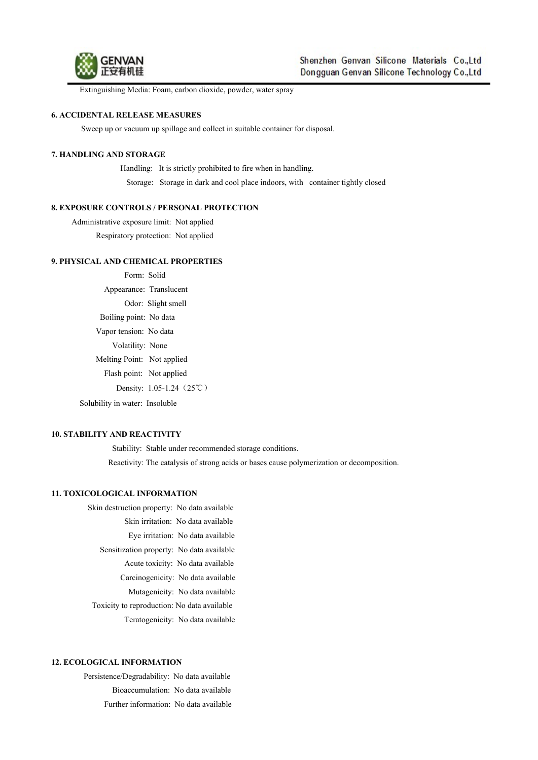

Extinguishing Media: Foam, carbon dioxide, powder, water spray

# **6. ACCIDENTAL RELEASE MEASURES**

Sweep up or vacuum up spillage and collect in suitable container for disposal.

# **7. HANDLING AND STORAGE**

Handling: It is strictly prohibited to fire when in handling.

Storage: Storage in dark and cool place indoors, with container tightly closed

# **8. EXPOSURE CONTROLS / PERSONAL PROTECTION**

Administrative exposure limit: Not applied Respiratory protection: Not applied

### **9. PHYSICAL AND CHEMICAL PROPERTIES**

Form: Solid Appearance: Translucent Odor: Slight smell Boiling point: No data Vapor tension: No data Volatility: None Melting Point: Not applied Flash point: Not applied Density: 1.05-1.24 (25℃) Solubility in water: Insoluble

#### **10. STABILITY AND REACTIVITY**

Stability: Stable under recommended storage conditions. Reactivity: The catalysis of strong acids or bases cause polymerization or decomposition.

#### **11. TOXICOLOGICAL INFORMATION**

Skin destruction property: No data available Skin irritation: No data available Eye irritation: No data available Sensitization property: No data available Acute toxicity: No data available Carcinogenicity: No data available Mutagenicity: No data available Toxicity to reproduction: No data available Teratogenicity: No data available

#### **12. ECOLOGICAL INFORMATION**

Persistence/Degradability: No data available Bioaccumulation: No data available Further information: No data available